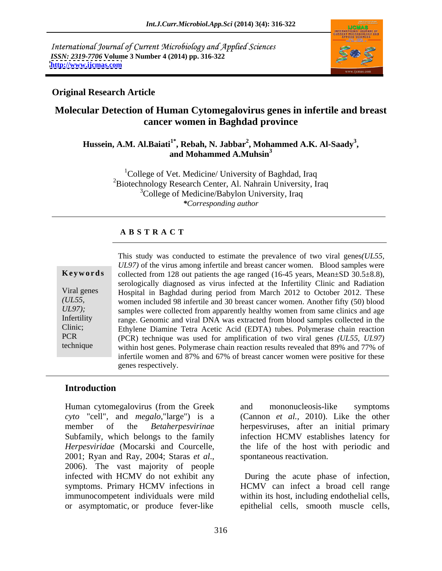International Journal of Current Microbiology and Applied Sciences *ISSN: 2319-7706* **Volume 3 Number 4 (2014) pp. 316-322 <http://www.ijcmas.com>**



# **Original Research Article**

# **Molecular Detection of Human Cytomegalovirus genes in infertile and breast cancer women in Baghdad province**

# **Hussein, A.M. Al.Baiati1\* , Rebah, N. Jabbar<sup>2</sup> , Mohammed A.K. Al-Saady<sup>3</sup> , and Mohammed A.Muhsin3**

 ${}^{1}$ College of Vet. Medicine/ University of Baghdad, Iraq <sup>2</sup>Biotechnology Research Center, Al. Nahrain University, Iraq <sup>3</sup>College of Medicine/Babylon University, Iraq *\*Corresponding author* 

## **A B S T R A C T**

| Keywords                        |
|---------------------------------|
| Viral genes<br>(UL55,<br>UL97); |
| Infertility<br>Clinic;          |
| <b>PCR</b><br>technique         |

**Ke ywo rds** collected from 128 out patients the age ranged (16-45 years, Mean±SD 30.5±8.8), Viral genes Hospital in Baghdad during period from March 2012 to October 2012. These *(UL55,*  women included 98 infertile and 30 breast cancer women. Another fifty (50) blood *UL97*); samples were collected from apparently healthy women from same clinics and age Infertility range. Genomic and viral DNA was extracted from blood samples collected in the Clinic; Ethylene Diamine Tetra Acetic Acid (EDTA) tubes. Polymerase chain reaction PCR (PCR) technique was used for amplification of two viral genes *(UL55, UL97)* technique within host genes. Polymerase chain reaction results revealed that 89% and 77% of This study was conducted to estimate the prevalence of two viral genes*(UL55, UL97)* of the virus among infertile and breast cancer women. Blood samples were serologically diagnosed as virus infected at the Infertility Clinic and Radiation infertile women and 87% and 67% of breast cancer women were positive for these genes respectively.

# **Introduction**

Human cytomegalovirus (from the Greek *cyto* "cell", and *megalo*,"large") is a (Cannon *et al.,* 2010). Like the other member of the *Betaherpesvirinae* herpesviruses, after an initial primary Subfamily, which belongs to the family infection HCMV establishes latency for *Herpesviridae* (Mocarski and Courcelle, the life of the host with periodic and 2001; Ryan and Ray, 2004; Staras *et al*., 2006). The vast majority of people infected with HCMV do not exhibit any During the acute phase of infection, symptoms. Primary HCMV infections in HCMV can infect a broad cell range immunocompetent individuals were mild within its host, including endothelial cells,

and mononucleosis-like symptoms spontaneous reactivation.

or asymptomatic, or produce fever-like epithelial cells, smooth muscle cells,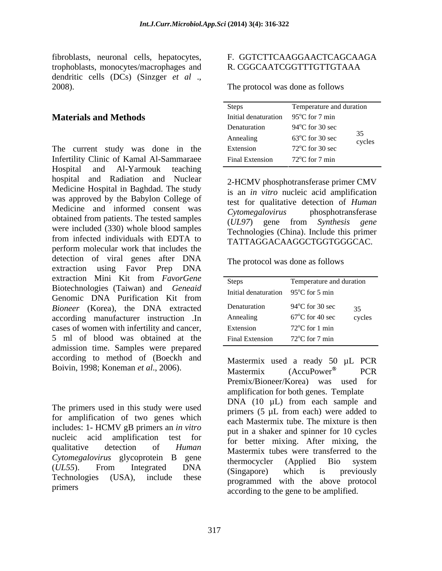fibroblasts, neuronal cells, hepatocytes, F. GGTCTTCAAGGAACTCAGCAAGA trophoblasts, monocytes/macrophages and dendritic cells (DCs) (Sinzger *et al* ., 2008). The protocol was done as follows

### **Materials and Methods**

The current study was done in the Infertility Clinic of Kamal Al-Sammaraee Hospital and Al-Yarmouk teaching hospital and Radiation and Nuclear Medicine Hospital in Baghdad. The study was approved by the Babylon College of Medicine and informed consent was extended consent was the consent consent consent consent consent consent consent consent consent consent consent consent consent consent consent consent consent consent consent consent con obtained from patients. The tested samples were included (330) whole blood samples from infected individuals with EDTA to perform molecular work that includes the detection of viral genes after DNA extraction using Favor Prep DNA extraction Mini Kit from *FavorGene* Biotechnologies (Taiwan) and *Geneaid* Genomic DNA Purification Kit from **Exercise Construction** Sector summer *Bioneer* (Korea), the DNA extracted Denaturation 94°C for 30 sec 35 according manufacturer instruction .In cases of women with infertility and cancer, 5 ml of blood was obtained at the admission time. Samples were prepared according to method of (Boeckh and

The primers used in this study were used for amplification of two genes which includes: 1- HCMV gB primers an *in vitro* nucleic acid amplification test for qualitative detection of *Human* Mastermix tubes were transferred to the *Cytomegalovirus* glycoprotein B gene thermocycler (Applied Bio system (*UL55*). From Integrated DNA Technologies (USA), include these programmed with the above protocol

### F. GGTCTTCAAGGAACTCAGCAAGA R. CGGCAATCGGTTTGTTGTAAA

| Steps                | Temperature and duration  |              |
|----------------------|---------------------------|--------------|
| Initial denaturation | $95^{\circ}$ C for 7 min  |              |
| Denaturation         | $94^{\circ}$ C for 30 sec |              |
| Annealing            | $63^{\circ}$ C for 30 sec | 35<br>cycles |
| Extension            | $72^{\circ}$ C for 30 sec |              |
| Final Extension      | $72^{\circ}$ C for 7 min  |              |

2-HCMV phosphotransferase primer CMV is an *in vitro* nucleic acid amplification test for qualitative detection of *Human Cytomegalovirus* phosphotransferase (*UL97*) gene from *Synthesis gene* Technologies (China). Include this primer TATTAGGACAAGGCTGGTGGGCAC.

The protocol was done as follows

Boivin, 1998; Koneman *et al.*, 2006). Mastermix (AccuPower<sup>®</sup> PCR primers<br>according to the gene to be amplified. Mastermix used a ready 50 µL PCR Mastermix (AccuPower<sup>®</sup> PCR Premix/Bioneer/Korea) was used for amplification for both genes. Template DNA (10  $\mu$ L) from each sample and primers (5 µL from each) were added to each Mastermix tube. The mixture is then put in a shaker and spinner for 10 cycles for better mixing. After mixing, the thermocycler (Applied Bio system (Singapore) which is previously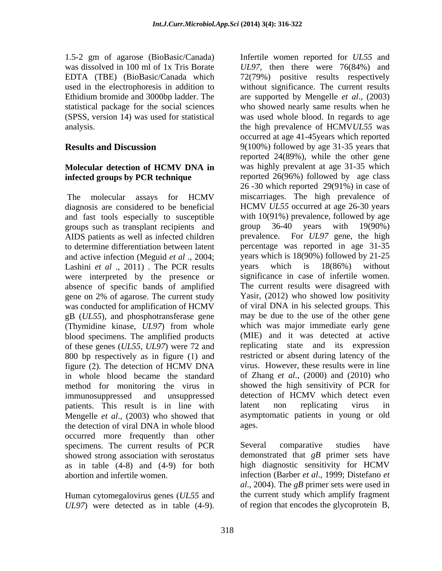1.5-2 gm of agarose (BioBasic/Canada) Infertile women reported for *UL55* and Ethidium bromide and 3000bp ladder. The

diagnosis are considered to be beneficial and fast tools especially to susceptible with  $10(91\%)$  prevalence, followed by age<br>groups such as transplant recipients and group  $36-40$  vears with  $19(90\%)$ groups such as transplant recipients and AIDS patients as well as infected children to determine differentiation between latent and active infection (Meguid *et al* ., 2004; years which is 18(90%) followed<br>Lashini *et al* ... 2011). The PCR results years which is 18(86%) Lashini *et al* ., 2011). The PCR results years which is 18(86%) without were interpreted by the presence or absence of specific bands of amplified gene on 2% of agarose. The current study was conducted for amplification of HCMV gB (*UL55*), and phosphotransferase gene (Thymidine kinase, *UL97*) from whole blood specimens. The amplified products of these genes (*UL55, UL97*) were 72 and 800 bp respectively as in figure (1) and figure  $(2)$ . The detection of HCMV DNA in whole blood became the standard method for monitoring the virus in patients. This result is in line with latent non replicating virus in Mengelle *et al*., (2003) who showed that the detection of viral DNA in whole blood ages. occurred more frequently than other specimens. The current results of PCR Several comparative studies have showed strong association with serostatus as in table (4-8) and (4-9) for both abortion and infertile women. infection (Barber *et al*., 1999; Distefano *et* 

Human cytomegalovirus genes (*UL55* and *UL97*) were detected as in table (4-9).

was dissolved in 100 ml of 1x Tris Borate *UL97*, then there were 76(84%) and EDTA (TBE) (BioBasic/Canada which 72(79%) positive results respectively used in the electrophoresis in addition to without significance. The current results statistical package for the social sciences who showed nearly same results when he (SPSS, version 14) was used for statistical was used whole blood. In regards to age analysis. the high prevalence of HCMV*UL55* was **Results and Discussion** 9(100%) followed by age 31-35 years that **Molecular detection of HCMV DNA in** was highly prevalent at age 31-35 which **infected groups by PCR technique** reported 26(96%) followed by age class The molecular assays for HCMV miscarriages. The high prevalence of immunosuppressed and unsuppressed detection of HCMV which detect even are supported by Mengelle *et al*., (2003) occurred at age 41-45years which reported reported 24(89%), while the other gene 26 -30 which reported 29(91%) in case of HCMV *UL55* occurred at age 26-30 years with 10(91%) prevalence, followed by age group 36-40 years with 19(90%) For *UL97* gene, the high percentage was reported in age 31-35 years which is 18(90%) followed by 21-25 years which is 18(86%) without significance in case of infertile women. The current results were disagreed with Yasir, (2012) who showed low positivity of viral DNA in his selected groups. This may be due to the use of the other gene which was major immediate early gene (MIE) and it was detected at active replicating state and its expression restricted or absent during latency of the virus. However, these results were in line of Zhang *et al*., (2000) and (2010) who showed the high sensitivity of PCR for latent non replicating virus in asymptomatic patients in young or old ages.

> Several comparative studies have demonstrated that *gB* primer sets have high diagnostic sensitivity for HCMV *al*., 2004). The *gB* primer sets were used in the current study which amplify fragment of region that encodes the glycoprotein B,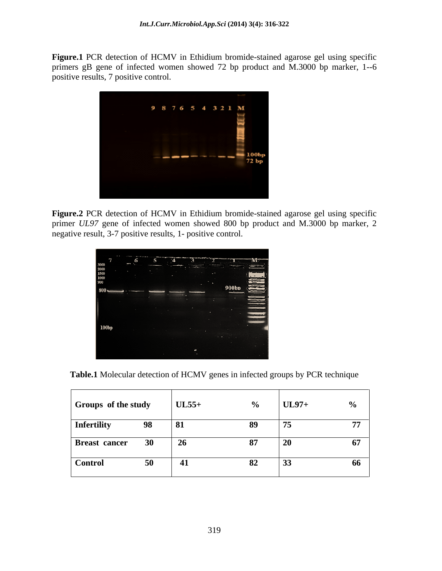**Figure.1** PCR detection of HCMV in Ethidium bromide-stained agarose gel using specific primers gB gene of infected women showed 72 bp product and M.3000 bp marker, 1--6 positive results, 7 positive control.



**Figure.2** PCR detection of HCMV in Ethidium bromide-stained agarose gel using specific primer *UL97* gene of infected women showed 800 bp product and M.3000 bp marker, 2 negative result, 3-7 positive results, 1- positive control.

| $\begin{array}{ l} 3000 \\ 2000 \end{array}$ | 6 | 5 |        | an an am Sainte |      | M |
|----------------------------------------------|---|---|--------|-----------------|------|---|
| 1500<br>1000                                 |   |   |        |                 |      |   |
| 900                                          |   |   |        |                 | 900b |   |
| $800 -$                                      |   |   |        |                 |      |   |
|                                              |   |   |        |                 |      |   |
|                                              |   |   |        | ٠               |      |   |
| 100bp                                        |   |   | $\sim$ | ٠               |      |   |
|                                              |   |   |        |                 |      |   |
|                                              |   |   |        |                 |      |   |

**Table.1** Molecular detection of HCMV genes in infected groups by PCR technique

| $\begin{array}{ c c c c c c } \hline \text{Groups} & \text{of the study} & \text{UL55+} \ \hline \end{array}$ |            |  | $UL97+$ |  |
|---------------------------------------------------------------------------------------------------------------|------------|--|---------|--|
| Infertility<br>-98                                                                                            |            |  |         |  |
| 30<br><b>Breast cancer</b>                                                                                    | $\vert$ 26 |  |         |  |
| Control                                                                                                       |            |  |         |  |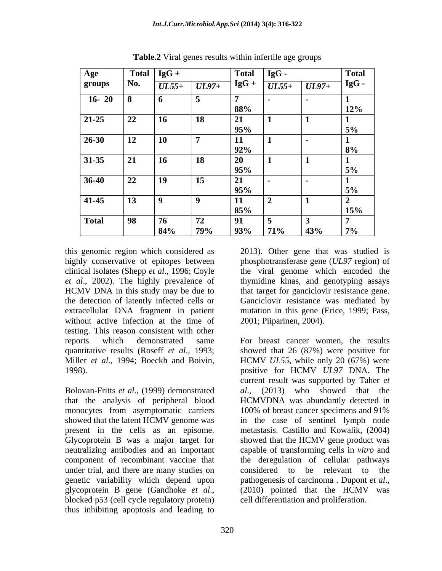| Age                                                                   |                            | $\sqrt{\text{Total}   \text{IgG}} +$ |                       | Total IgG - |                      | <b>Total</b> |
|-----------------------------------------------------------------------|----------------------------|--------------------------------------|-----------------------|-------------|----------------------|--------------|
| groups                                                                | $\blacksquare$ No.         |                                      | $UL55+  UL97+  IgG +$ |             | $UL55+  UL97+  IgG-$ |              |
| $\begin{array}{ c c c c c } \hline 16 & 20 & 8 \\ \hline \end{array}$ |                            |                                      |                       |             |                      |              |
|                                                                       |                            |                                      |                       | 88%         |                      | 12%          |
| $\boxed{21-25}$                                                       | $\sqrt{22}$                | $\vert$ 16                           | $\vert$ 18            |             |                      |              |
|                                                                       |                            |                                      |                       | 95%         |                      |              |
| $\boxed{26-30}$                                                       | $\boxed{12}$               | <b>10</b>                            |                       |             |                      |              |
|                                                                       |                            |                                      |                       | 92%         |                      |              |
| $\sqrt{31-35}$                                                        | 21                         | <b>16</b>                            | $\vert$ 18            |             |                      |              |
|                                                                       |                            |                                      |                       |             |                      |              |
| $36-40$                                                               | $\boxed{22}$               | <b>19</b>                            | $\vert$ 15            |             |                      |              |
|                                                                       |                            |                                      |                       | 95%         |                      |              |
| $\sqrt{41-45}$                                                        | $\vert$ 13                 |                                      |                       |             |                      |              |
|                                                                       |                            |                                      |                       | 85%         |                      | 15%          |
| Total                                                                 | $\overline{\phantom{0}98}$ | $\sim$                               | $\mathbf{z}$          |             |                      |              |
|                                                                       |                            | 84%                                  | 79%                   | 93%         | 71%<br>43%           | $7\%$        |

**Table.2** Viral genes results within infertile age groups

this genomic region which considered as 2013). Other gene that was studied is without active infection at the time of testing. This reason consistent with other

Bolovan-Fritts *et al*., (1999) demonstrated that the analysis of peripheral blood monocytes from asymptomatic carriers 100% of breast cancer specimens and 91% under trial, and there are many studies on considered to be relevant to the genetic variability which depend upon pathogenesis of carcinoma. Dupont et al., blocked p53 (cell cycle regulatory protein) thus inhibiting apoptosis and leading to

highly conservative of epitopes between phosphotransferase gene (*UL97* region) of clinical isolates (Shepp *et al*., 1996; Coyle the viral genome which encoded the *et al*., 2002). The highly prevalence of thymidine kinas, and genotyping assays HCMV DNA in this study may be due to that target for ganciclovir resistance gene. the detection of latently infected cells or Ganciclovir resistance was mediated by extracellular DNA fragment in patient mutation in this gene (Erice, 1999; Pass, 2001; Piiparinen, 2004).

reports which demonstrated same For breast cancer women, the results quantitative results (Roseff *et al*., 1993; showed that 26 (87%) were positive for Miller *et al*., 1994; Boeckh and Boivin, HCMV *UL55*, while only 20 (67%) were 1998). positive for HCMV *UL97* DNA. The showed that the latent HCMV genome was in the case of sentinel lymph node present in the cells as an episome. metastasis. Castillo and Kowalik, (2004) Glycoprotein B was a major target for showed that the HCMV gene product was neutralizing antibodies and an important capable of transforming cells in *vitro* and component of recombinant vaccine that the deregulation of cellular pathways this genomic region which considered as 2013). Other gene that was studied is<br>bighly conservative of epitopes between phosphotransferase gene (*UL97* region) of<br>elinical isolates (Shepp *et al.*, 1996; Coyle the viral geno current result was supported by Taher *et al*., (2013) who showed that the HCMVDNA was abundantly detected in 100% of breast cancer specimens and 91% considered to be relevant to the pathogenesis of carcinoma . Dupont *et al.*, (2010) pointed that the HCMV was cell differentiation and proliferation.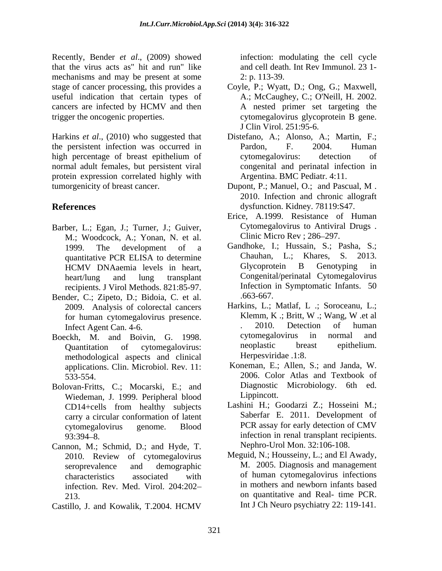Recently, Bender *et al*., (2009) showed that the virus acts as" hit and run" like mechanisms and may be present at some 2: p. 113-39. stage of cancer processing, this provides a Coyle, P.; Wyatt, D.; Ong, G.; Maxwell, useful indication that certain types of cancers are infected by HCMV and then trigger the oncogenic properties. cytomegalovirus glycoprotein B gene.

Harkins *et al*., (2010) who suggested that Distefano, A.; Alonso, A.; Martin, F.; the persistent infection was occurred in Pardon, F. 2004. Human high percentage of breast epithelium of cytomegalovirus: detection of normal adult females, but persistent viral protein expression correlated highly with tumorgenicity of breast cancer. Dupont, P.; Manuel, O.; and Pascual, M.

- Barber, L.; Egan, J.; Turner, J.; Guiver, M.; Woodcock, A.; Yonan, N. et al. HCMV DNAaemia levels in heart, recipients. J Virol Methods. 821:85-97. Infection<br>
recipients. J Virol Methods. 821:85-97. (and infection
- Bender, C.; Zipeto, D.; Bidoia, C. et al.
- Boeckh, M. and Boivin, G. 1998. cytomegalovirus in normal and Ouantitation of cytomegalovirus republic breast epithelium. methodological aspects and clinical applications. Clin. Microbiol. Rev. 11:
- Bolovan-Fritts, C.; Mocarski, E.; and Diagnostic<br>Wiedeman I 1999 Perinheral blood Lippincott. Wiedeman, J. 1999. Peripheral blood CD14+cells from healthy subjects carry a circular conformation of latent
- Cannon, M.; Schmid, D.; and Hyde, T. 2010. Review of cytomegalovirus infection. Rev. Med. Virol. 204:202
- Castillo, J. and Kowalik, T.2004. HCMV

infection: modulating the cell cycle and cell death. Int Rev Immunol. 23 1- 2: p. 113-39.

- A.; McCaughey, C.; O'Neill, H. 2002. A nested primer set targeting the J Clin Virol. 251:95-6.
- Pardon, F. 2004. Human cytomegalovirus: detection of congenital and perinatal infection in Argentina. BMC Pediatr. 4:11.
- **References** dysfunction. Kidney. 78119:S47. Dupont, P.; Manuel, O.; and Pascual, M . 2010. Infection and chronic allograft
	- Erice, A.1999. Resistance of Human Cytomegalovirus to Antiviral Drugs . Clinic Micro Rev ; 286-297.
	- 1999. The development of a Gandhoke, I.; Hussain, S.; Pasha, S.; quantitative PCR ELISA to determine<br>
	HCMV DNAaemia levels in heart Glycoprotein B Genotyping in heart/lung and lung transplant Congenital/perinatal Cytomegalovirus Chauhan, L.; Khares, S. Glycoprotein B Genotyping in Infection in Symptomatic Infants. 50 .663-667.
	- 2009. Analysis of colorectal cancers Harkins, L.; Matlaf, L.; Soroceanu, L.; for human cytomegalovirus presence Klemm, K.; Britt, W.; Wang, W. et al. for human cytomegalovirus presence.<br> **Klemm, K** .; Britt, W .; Wang, W .et al<br> **Canadical Lines Agent Canadical**<br> **Canadical Lines Canadical Lines (2010)**<br> **Canadical Lines Canadical Lines (2010)**<br> **Canadical Lines Canadic** Infect Agent Can. 4-6.<br>
	ockh M and Boivin G 1998 (Supervictivity in normal Quantitation of cytomegalovirus: Harkins, L.; Matlaf, L .; Soroceanu, L.; Klemm, K .; Britt, W .; Wang, W .et al . 2010. Detection of human cytomegalovirus in normal and neoplastic breast epithelium. Herpesviridae .1:8.
	- 533-554. 2006. Color Atlas and Textbook of Koneman, E.; Allen, S.; and Janda, W. Diagnostic Microbiology. 6th ed. Lippincott.
	- cytomegalovirus genome. Blood PCR assay for early detection of CMV 93:394 8. infection in renal transplant recipients. Lashini H.; Goodarzi Z.; Hosseini M.; Saberfar E. 2011. Development of PCR assay for early detection of CMV Nephro-Urol Mon. 32:106-108.
	- seroprevalence and demographic M. 2005. Diagnosis and management characteristics associated with of human cytomegalovirus infections 213. on quantitative and Real- time PCR. Meguid, N.; Housseiny, L.; and El Awady, in mothers and newborn infants based Int J Ch Neuro psychiatry 22: 119-141.